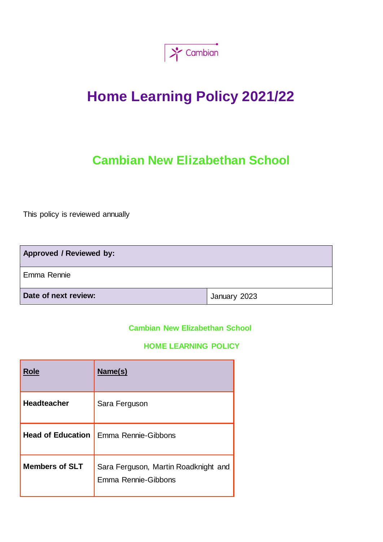

# **Home Learning Policy 2021/22**

# **Cambian New Elizabethan School**

This policy is reviewed annually

| <b>Approved / Reviewed by:</b> |              |  |
|--------------------------------|--------------|--|
| Emma Rennie                    |              |  |
| Date of next review:           | January 2023 |  |

# **Cambian New Elizabethan School**

# **HOME LEARNING POLICY**

| <b>Role</b>              | Name(s)                                                     |
|--------------------------|-------------------------------------------------------------|
| <b>Headteacher</b>       | Sara Ferguson                                               |
| <b>Head of Education</b> | Emma Rennie-Gibbons                                         |
| <b>Members of SLT</b>    | Sara Ferguson, Martin Roadknight and<br>Emma Rennie-Gibbons |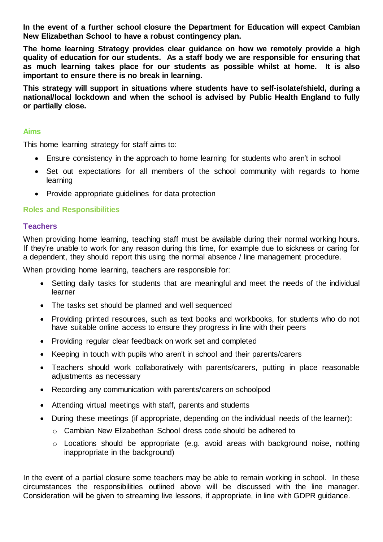**In the event of a further school closure the Department for Education will expect Cambian New Elizabethan School to have a robust contingency plan.** 

**The home learning Strategy provides clear guidance on how we remotely provide a high quality of education for our students. As a staff body we are responsible for ensuring that as much learning takes place for our students as possible whilst at home. It is also important to ensure there is no break in learning.** 

**This strategy will support in situations where students have to self-isolate/shield, during a national/local lockdown and when the school is advised by Public Health England to fully or partially close.** 

#### **Aims**

This home learning strategy for staff aims to:

- Ensure consistency in the approach to home learning for students who aren't in school
- Set out expectations for all members of the school community with regards to home learning
- Provide appropriate quidelines for data protection

#### **Roles and Responsibilities**

#### **Teachers**

When providing home learning, teaching staff must be available during their normal working hours. If they're unable to work for any reason during this time, for example due to sickness or caring for a dependent, they should report this using the normal absence / line management procedure.

When providing home learning, teachers are responsible for:

- Setting daily tasks for students that are meaningful and meet the needs of the individual learner
- The tasks set should be planned and well sequenced
- Providing printed resources, such as text books and workbooks, for students who do not have suitable online access to ensure they progress in line with their peers
- Providing regular clear feedback on work set and completed
- Keeping in touch with pupils who aren't in school and their parents/carers
- Teachers should work collaboratively with parents/carers, putting in place reasonable adjustments as necessary
- Recording any communication with parents/carers on schoolpod
- Attending virtual meetings with staff, parents and students
- During these meetings (if appropriate, depending on the individual needs of the learner):
	- o Cambian New Elizabethan School dress code should be adhered to
	- o Locations should be appropriate (e.g. avoid areas with background noise, nothing inappropriate in the background)

In the event of a partial closure some teachers may be able to remain working in school. In these circumstances the responsibilities outlined above will be discussed with the line manager. Consideration will be given to streaming live lessons, if appropriate, in line with GDPR guidance.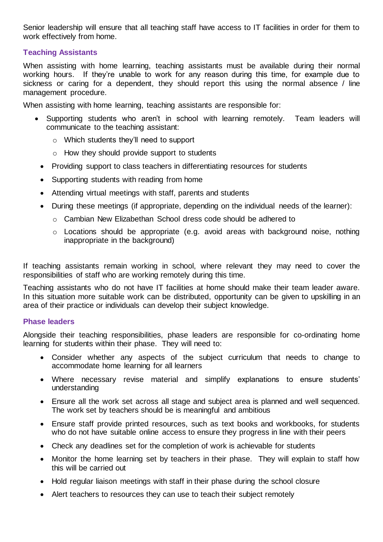Senior leadership will ensure that all teaching staff have access to IT facilities in order for them to work effectively from home.

# **Teaching Assistants**

When assisting with home learning, teaching assistants must be available during their normal working hours. If they're unable to work for any reason during this time, for example due to sickness or caring for a dependent, they should report this using the normal absence / line management procedure.

When assisting with home learning, teaching assistants are responsible for:

- Supporting students who aren't in school with learning remotely. Team leaders will communicate to the teaching assistant:
	- o Which students they'll need to support
	- o How they should provide support to students
	- Providing support to class teachers in differentiating resources for students
	- Supporting students with reading from home
	- Attending virtual meetings with staff, parents and students
	- During these meetings (if appropriate, depending on the individual needs of the learner):
		- o Cambian New Elizabethan School dress code should be adhered to
		- o Locations should be appropriate (e.g. avoid areas with background noise, nothing inappropriate in the background)

If teaching assistants remain working in school, where relevant they may need to cover the responsibilities of staff who are working remotely during this time.

Teaching assistants who do not have IT facilities at home should make their team leader aware. In this situation more suitable work can be distributed, opportunity can be given to upskilling in an area of their practice or individuals can develop their subject knowledge.

#### **Phase leaders**

Alongside their teaching responsibilities, phase leaders are responsible for co-ordinating home learning for students within their phase. They will need to:

- Consider whether any aspects of the subject curriculum that needs to change to accommodate home learning for all learners
- Where necessary revise material and simplify explanations to ensure students' understanding
- Ensure all the work set across all stage and subject area is planned and well sequenced. The work set by teachers should be is meaningful and ambitious
- Ensure staff provide printed resources, such as text books and workbooks, for students who do not have suitable online access to ensure they progress in line with their peers
- Check any deadlines set for the completion of work is achievable for students
- Monitor the home learning set by teachers in their phase. They will explain to staff how this will be carried out
- Hold regular liaison meetings with staff in their phase during the school closure
- Alert teachers to resources they can use to teach their subject remotely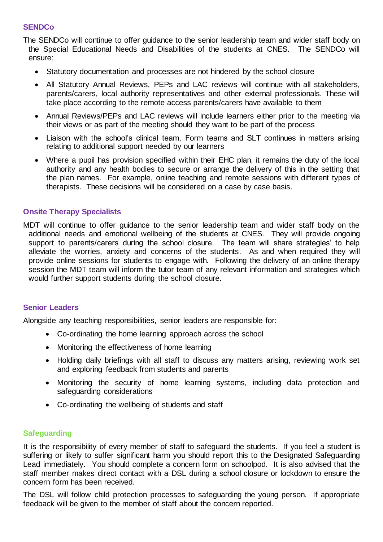# **SENDCo**

The SENDCo will continue to offer guidance to the senior leadership team and wider staff body on the Special Educational Needs and Disabilities of the students at CNES. The SENDCo will ensure:

- Statutory documentation and processes are not hindered by the school closure
- All Statutory Annual Reviews, PEPs and LAC reviews will continue with all stakeholders, parents/carers, local authority representatives and other external professionals. These will take place according to the remote access parents/carers have available to them
- Annual Reviews/PEPs and LAC reviews will include learners either prior to the meeting via their views or as part of the meeting should they want to be part of the process
- Liaison with the school's clinical team, Form teams and SLT continues in matters arising relating to additional support needed by our learners
- Where a pupil has provision specified within their EHC plan, it remains the duty of the local authority and any health bodies to secure or arrange the delivery of this in the setting that the plan names. For example, online teaching and remote sessions with different types of therapists. These decisions will be considered on a case by case basis.

# **Onsite Therapy Specialists**

MDT will continue to offer guidance to the senior leadership team and wider staff body on the additional needs and emotional wellbeing of the students at CNES. They will provide ongoing support to parents/carers during the school closure. The team will share strategies' to help alleviate the worries, anxiety and concerns of the students. As and when required they will provide online sessions for students to engage with. Following the delivery of an online therapy session the MDT team will inform the tutor team of any relevant information and strategies which would further support students during the school closure.

#### **Senior Leaders**

Alongside any teaching responsibilities, senior leaders are responsible for:

- Co-ordinating the home learning approach across the school
- Monitoring the effectiveness of home learning
- Holding daily briefings with all staff to discuss any matters arising, reviewing work set and exploring feedback from students and parents
- Monitoring the security of home learning systems, including data protection and safeguarding considerations
- Co-ordinating the wellbeing of students and staff

#### **Safeguarding**

It is the responsibility of every member of staff to safeguard the students. If you feel a student is suffering or likely to suffer significant harm you should report this to the Designated Safeguarding Lead immediately. You should complete a concern form on schoolpod. It is also advised that the staff member makes direct contact with a DSL during a school closure or lockdown to ensure the concern form has been received.

The DSL will follow child protection processes to safeguarding the young person. If appropriate feedback will be given to the member of staff about the concern reported.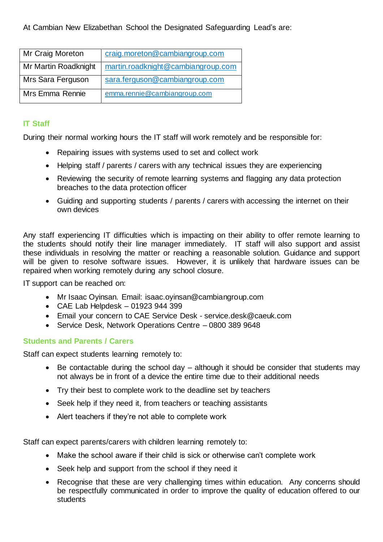| Mr Craig Moreton     | craig.moreton@cambiangroup.com     |
|----------------------|------------------------------------|
| Mr Martin Roadknight | martin.roadknight@cambiangroup.com |
| Mrs Sara Ferguson    | sara.ferguson@cambiangroup.com     |
| Mrs Emma Rennie      | emma.rennie@cambiangroup.com       |

# **IT Staff**

During their normal working hours the IT staff will work remotely and be responsible for:

- Repairing issues with systems used to set and collect work
- Helping staff / parents / carers with any technical issues they are experiencing
- Reviewing the security of remote learning systems and flagging any data protection breaches to the data protection officer
- Guiding and supporting students / parents / carers with accessing the internet on their own devices

Any staff experiencing IT difficulties which is impacting on their ability to offer remote learning to the students should notify their line manager immediately. IT staff will also support and assist these individuals in resolving the matter or reaching a reasonable solution. Guidance and support will be given to resolve software issues. However, it is unlikely that hardware issues can be repaired when working remotely during any school closure.

IT support can be reached on:

- Mr Isaac Oyinsan. Email: isaac.oyinsan@cambiangroup.com
- $\bullet$  CAE Lab Helpdesk 01923 944 399
- Email your concern to CAE Service Desk service.desk@caeuk.com
- Service Desk, Network Operations Centre 0800 389 9648

# **Students and Parents / Carers**

Staff can expect students learning remotely to:

- $\bullet$  Be contactable during the school day although it should be consider that students may not always be in front of a device the entire time due to their additional needs
- Try their best to complete work to the deadline set by teachers
- Seek help if they need it, from teachers or teaching assistants
- Alert teachers if they're not able to complete work

Staff can expect parents/carers with children learning remotely to:

- Make the school aware if their child is sick or otherwise can't complete work
- Seek help and support from the school if they need it
- Recognise that these are very challenging times within education. Any concerns should be respectfully communicated in order to improve the quality of education offered to our students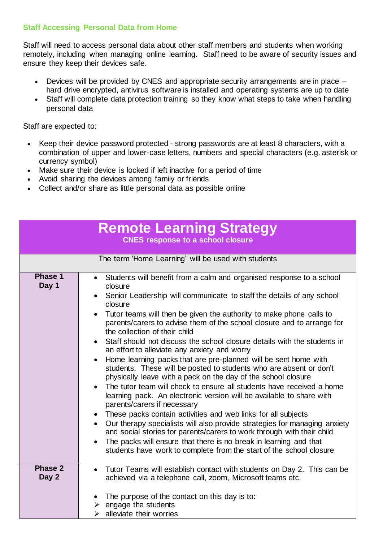# **Staff Accessing Personal Data from Home**

Staff will need to access personal data about other staff members and students when working remotely, including when managing online learning. Staff need to be aware of security issues and ensure they keep their devices safe.

- Devices will be provided by CNES and appropriate security arrangements are in place hard drive encrypted, antivirus software is installed and operating systems are up to date
- Staff will complete data protection training so they know what steps to take when handling personal data

Staff are expected to:

- Keep their device password protected strong passwords are at least 8 characters, with a combination of upper and lower-case letters, numbers and special characters (e.g. asterisk or currency symbol)
- Make sure their device is locked if left inactive for a period of time
- Avoid sharing the devices among family or friends
- Collect and/or share as little personal data as possible online

| <b>Remote Learning Strategy</b><br><b>CNES response to a school closure</b> |                                                                                                                                                                                                                                                                                                                                                                                                                                                                                                                                                                                                                                                                                                                                                                                                                                                                                                                                                                                                                                                                                                                                                                                                                                                                                        |  |
|-----------------------------------------------------------------------------|----------------------------------------------------------------------------------------------------------------------------------------------------------------------------------------------------------------------------------------------------------------------------------------------------------------------------------------------------------------------------------------------------------------------------------------------------------------------------------------------------------------------------------------------------------------------------------------------------------------------------------------------------------------------------------------------------------------------------------------------------------------------------------------------------------------------------------------------------------------------------------------------------------------------------------------------------------------------------------------------------------------------------------------------------------------------------------------------------------------------------------------------------------------------------------------------------------------------------------------------------------------------------------------|--|
|                                                                             | The term 'Home Learning' will be used with students                                                                                                                                                                                                                                                                                                                                                                                                                                                                                                                                                                                                                                                                                                                                                                                                                                                                                                                                                                                                                                                                                                                                                                                                                                    |  |
| Phase 1<br>Day 1                                                            | Students will benefit from a calm and organised response to a school<br>$\bullet$<br>closure<br>Senior Leadership will communicate to staff the details of any school<br>closure<br>Tutor teams will then be given the authority to make phone calls to<br>parents/carers to advise them of the school closure and to arrange for<br>the collection of their child<br>Staff should not discuss the school closure details with the students in<br>$\bullet$<br>an effort to alleviate any anxiety and worry<br>Home learning packs that are pre-planned will be sent home with<br>students. These will be posted to students who are absent or don't<br>physically leave with a pack on the day of the school closure<br>The tutor team will check to ensure all students have received a home<br>learning pack. An electronic version will be available to share with<br>parents/carers if necessary<br>These packs contain activities and web links for all subjects<br>Our therapy specialists will also provide strategies for managing anxiety<br>and social stories for parents/carers to work through with their child<br>The packs will ensure that there is no break in learning and that<br>$\bullet$<br>students have work to complete from the start of the school closure |  |
| Phase 2<br>Day 2                                                            | Tutor Teams will establish contact with students on Day 2. This can be<br>$\bullet$<br>achieved via a telephone call, zoom, Microsoft teams etc.<br>The purpose of the contact on this day is to:<br>engage the students<br>alleviate their worries<br>➤                                                                                                                                                                                                                                                                                                                                                                                                                                                                                                                                                                                                                                                                                                                                                                                                                                                                                                                                                                                                                               |  |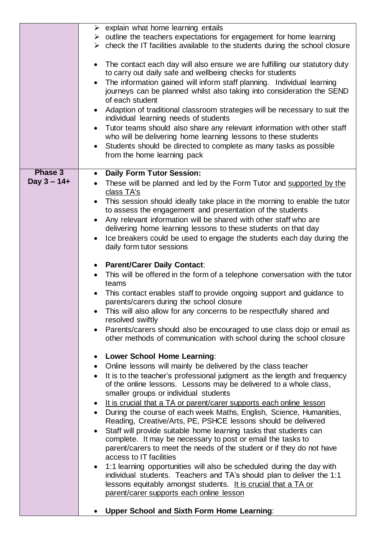|                                  | $\triangleright$ explain what home learning entails<br>$\triangleright$ outline the teachers expectations for engagement for home learning<br>$\triangleright$ check the IT facilities available to the students during the school closure<br>The contact each day will also ensure we are fulfilling our statutory duty<br>to carry out daily safe and wellbeing checks for students<br>The information gained will inform staff planning. Individual learning<br>journeys can be planned whilst also taking into consideration the SEND<br>of each student<br>Adaption of traditional classroom strategies will be necessary to suit the<br>individual learning needs of students<br>Tutor teams should also share any relevant information with other staff<br>who will be delivering home learning lessons to these students                                                                                                                                                                                                                                                                                                                                                                                                                                                                                                                                                                                                                                                                                                                                                                                                                                                                                                                                                                                                                                                                                                                                                                                                                       |
|----------------------------------|--------------------------------------------------------------------------------------------------------------------------------------------------------------------------------------------------------------------------------------------------------------------------------------------------------------------------------------------------------------------------------------------------------------------------------------------------------------------------------------------------------------------------------------------------------------------------------------------------------------------------------------------------------------------------------------------------------------------------------------------------------------------------------------------------------------------------------------------------------------------------------------------------------------------------------------------------------------------------------------------------------------------------------------------------------------------------------------------------------------------------------------------------------------------------------------------------------------------------------------------------------------------------------------------------------------------------------------------------------------------------------------------------------------------------------------------------------------------------------------------------------------------------------------------------------------------------------------------------------------------------------------------------------------------------------------------------------------------------------------------------------------------------------------------------------------------------------------------------------------------------------------------------------------------------------------------------------------------------------------------------------------------------------------------------------|
|                                  | Students should be directed to complete as many tasks as possible<br>from the home learning pack                                                                                                                                                                                                                                                                                                                                                                                                                                                                                                                                                                                                                                                                                                                                                                                                                                                                                                                                                                                                                                                                                                                                                                                                                                                                                                                                                                                                                                                                                                                                                                                                                                                                                                                                                                                                                                                                                                                                                       |
| <b>Phase 3</b><br>Day $3 - 14 +$ | <b>Daily Form Tutor Session:</b><br>These will be planned and led by the Form Tutor and supported by the<br>class TA's<br>This session should ideally take place in the morning to enable the tutor<br>$\bullet$<br>to assess the engagement and presentation of the students<br>Any relevant information will be shared with other staff who are<br>delivering home learning lessons to these students on that day<br>Ice breakers could be used to engage the students each day during the<br>daily form tutor sessions<br><b>Parent/Carer Daily Contact:</b><br>This will be offered in the form of a telephone conversation with the tutor<br>teams<br>This contact enables staff to provide ongoing support and guidance to<br>parents/carers during the school closure<br>This will also allow for any concerns to be respectfully shared and<br>resolved swiftly<br>Parents/carers should also be encouraged to use class dojo or email as<br>other methods of communication with school during the school closure<br>Lower School Home Learning:<br>Online lessons will mainly be delivered by the class teacher<br>It is to the teacher's professional judgment as the length and frequency<br>of the online lessons. Lessons may be delivered to a whole class,<br>smaller groups or individual students<br>It is crucial that a TA or parent/carer supports each online lesson<br>During the course of each week Maths, English, Science, Humanities,<br>$\bullet$<br>Reading, Creative/Arts, PE, PSHCE lessons should be delivered<br>Staff will provide suitable home learning tasks that students can<br>complete. It may be necessary to post or email the tasks to<br>parent/carers to meet the needs of the student or if they do not have<br>access to IT facilities<br>1:1 learning opportunities will also be scheduled during the day with<br>individual students. Teachers and TA's should plan to deliver the 1:1<br>lessons equitably amongst students. It is crucial that a TA or<br>parent/carer supports each online lesson |
|                                  | <b>Upper School and Sixth Form Home Learning:</b>                                                                                                                                                                                                                                                                                                                                                                                                                                                                                                                                                                                                                                                                                                                                                                                                                                                                                                                                                                                                                                                                                                                                                                                                                                                                                                                                                                                                                                                                                                                                                                                                                                                                                                                                                                                                                                                                                                                                                                                                      |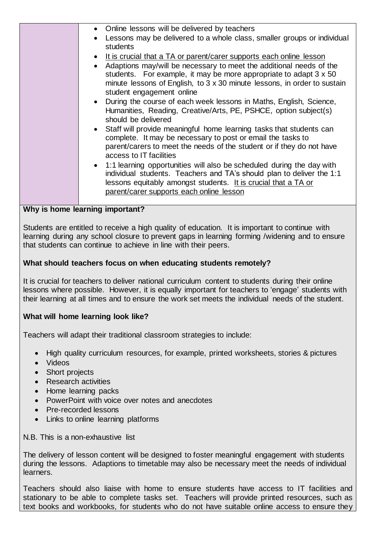| • Online lessons will be delivered by teachers                                                        |
|-------------------------------------------------------------------------------------------------------|
| Lessons may be delivered to a whole class, smaller groups or individual                               |
| students                                                                                              |
| • It is crucial that a TA or parent/carer supports each online lesson                                 |
| • Adaptions may/will be necessary to meet the additional needs of the                                 |
| students. For example, it may be more appropriate to adapt 3 x 50                                     |
| minute lessons of English, to 3 x 30 minute lessons, in order to sustain<br>student engagement online |
| During the course of each week lessons in Maths, English, Science,                                    |
| Humanities, Reading, Creative/Arts, PE, PSHCE, option subject(s)                                      |
| should be delivered                                                                                   |
| • Staff will provide meaningful home learning tasks that students can                                 |
| complete. It may be necessary to post or email the tasks to                                           |
| parent/carers to meet the needs of the student or if they do not have<br>access to IT facilities      |
| • 1:1 learning opportunities will also be scheduled during the day with                               |
| individual students. Teachers and TA's should plan to deliver the 1:1                                 |
| lessons equitably amongst students. It is crucial that a TA or                                        |
| parent/carer supports each online lesson                                                              |
|                                                                                                       |
| Why is home learning important?                                                                       |

Students are entitled to receive a high quality of education. It is important to continue with learning during any school closure to prevent gaps in learning forming /widening and to ensure that students can continue to achieve in line with their peers.

# **What should teachers focus on when educating students remotely?**

It is crucial for teachers to deliver national curriculum content to students during their online lessons where possible. However, it is equally important for teachers to 'engage' students with their learning at all times and to ensure the work set meets the individual needs of the student.

# **What will home learning look like?**

Teachers will adapt their traditional classroom strategies to include:

- High quality curriculum resources, for example, printed worksheets, stories & pictures
- Videos
- Short projects
- Research activities
- Home learning packs
- PowerPoint with voice over notes and anecdotes
- Pre-recorded lessons
- Links to online learning platforms

N.B. This is a non-exhaustive list

The delivery of lesson content will be designed to foster meaningful engagement with students during the lessons. Adaptions to timetable may also be necessary meet the needs of individual learners.

Teachers should also liaise with home to ensure students have access to IT facilities and stationary to be able to complete tasks set. Teachers will provide printed resources, such as text books and workbooks, for students who do not have suitable online access to ensure they